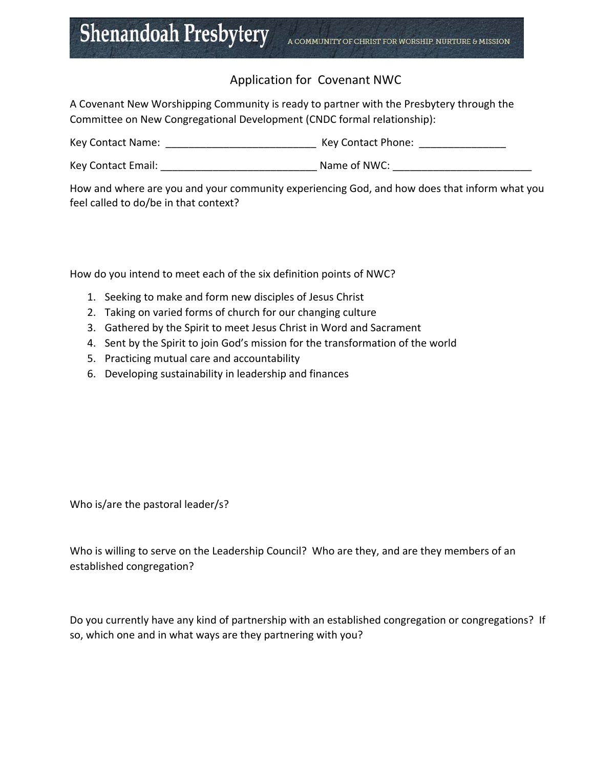## Application for Covenant NWC

A Covenant New Worshipping Community is ready to partner with the Presbytery through the Committee on New Congregational Development (CNDC formal relationship):

| Key Contact Name: | Key Contact Phone: |  |
|-------------------|--------------------|--|
|                   |                    |  |

Key Contact Email: The Contact Email: The Contact Email:  $\blacksquare$  Name of NWC:  $\blacksquare$ 

How and where are you and your community experiencing God, and how does that inform what you feel called to do/be in that context?

How do you intend to meet each of the six definition points of NWC?

- 1. Seeking to make and form new disciples of Jesus Christ
- 2. Taking on varied forms of church for our changing culture
- 3. Gathered by the Spirit to meet Jesus Christ in Word and Sacrament
- 4. Sent by the Spirit to join God's mission for the transformation of the world
- 5. Practicing mutual care and accountability
- 6. Developing sustainability in leadership and finances

Who is/are the pastoral leader/s?

Who is willing to serve on the Leadership Council? Who are they, and are they members of an established congregation?

Do you currently have any kind of partnership with an established congregation or congregations? If so, which one and in what ways are they partnering with you?